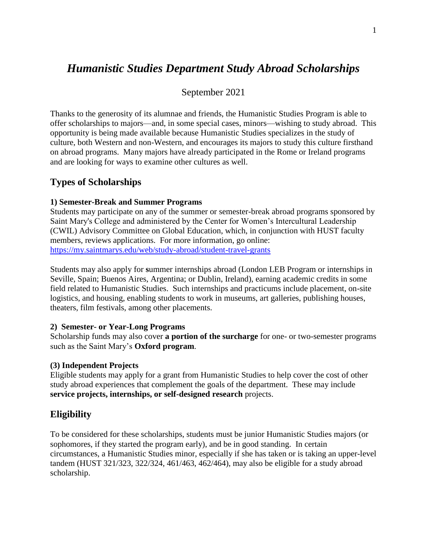# *Humanistic Studies Department Study Abroad Scholarships*

September 2021

Thanks to the generosity of its alumnae and friends, the Humanistic Studies Program is able to offer scholarships to majors—and, in some special cases, minors—wishing to study abroad. This opportunity is being made available because Humanistic Studies specializes in the study of culture, both Western and non-Western, and encourages its majors to study this culture firsthand on abroad programs. Many majors have already participated in the Rome or Ireland programs and are looking for ways to examine other cultures as well.

## **Types of Scholarships**

#### **1) Semester-Break and Summer Programs**

Students may participate on any of the summer or semester-break abroad programs sponsored by Saint Mary's College and administered by the Center for Women's Intercultural Leadership (CWIL) Advisory Committee on Global Education, which, in conjunction with HUST faculty members, reviews applications. For more information, go online: <https://my.saintmarys.edu/web/study-abroad/student-travel-grants>

Students may also apply for **s**ummer internships abroad (London LEB Program or internships in Seville, Spain; Buenos Aires, Argentina; or Dublin, Ireland), earning academic credits in some field related to Humanistic Studies. Such internships and practicums include placement, on-site logistics, and housing, enabling students to work in museums, art galleries, publishing houses, theaters, film festivals, among other placements.

#### **2) Semester- or Year-Long Programs**

Scholarship funds may also cover **a portion of the surcharge** for one- or two-semester programs such as the Saint Mary's **Oxford program**.

#### **(3) Independent Projects**

Eligible students may apply for a grant from Humanistic Studies to help cover the cost of other study abroad experiences that complement the goals of the department. These may include **service projects, internships, or self-designed research** projects.

### **Eligibility**

To be considered for these scholarships, students must be junior Humanistic Studies majors (or sophomores, if they started the program early), and be in good standing. In certain circumstances, a Humanistic Studies minor, especially if she has taken or is taking an upper-level tandem (HUST 321/323, 322/324, 461/463, 462/464), may also be eligible for a study abroad scholarship.